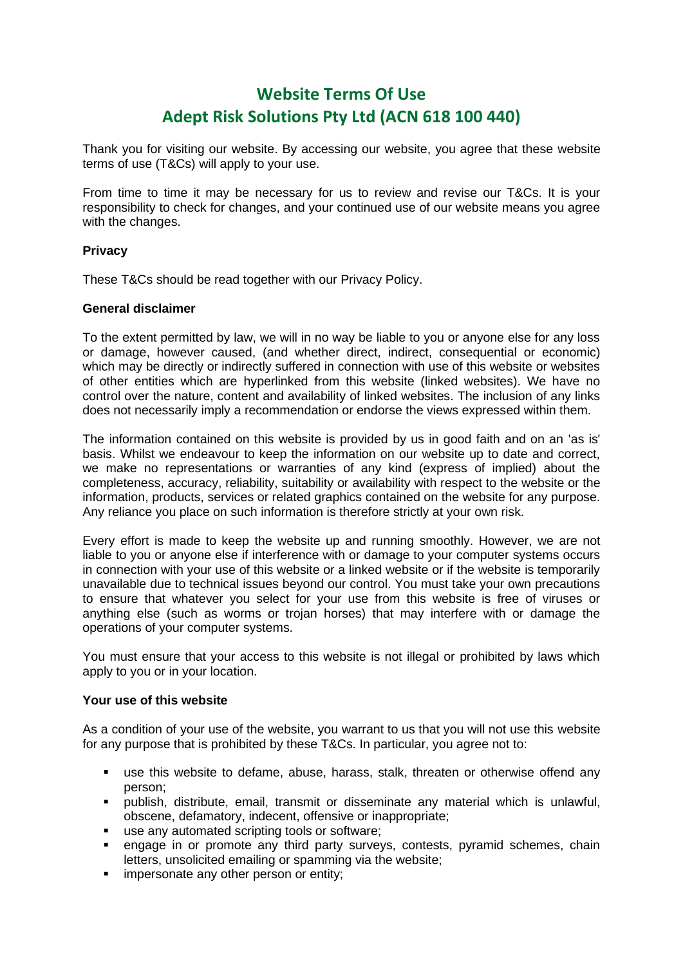# **Website Terms Of Use Adept Risk Solutions Pty Ltd (ACN 618 100 440)**

Thank you for visiting our website. By accessing our website, you agree that these website terms of use (T&Cs) will apply to your use.

From time to time it may be necessary for us to review and revise our T&Cs. It is your responsibility to check for changes, and your continued use of our website means you agree with the changes.

# **Privacy**

These T&Cs should be read together with our Privacy Policy.

# **General disclaimer**

To the extent permitted by law, we will in no way be liable to you or anyone else for any loss or damage, however caused, (and whether direct, indirect, consequential or economic) which may be directly or indirectly suffered in connection with use of this website or websites of other entities which are hyperlinked from this website (linked websites). We have no control over the nature, content and availability of linked websites. The inclusion of any links does not necessarily imply a recommendation or endorse the views expressed within them.

The information contained on this website is provided by us in good faith and on an 'as is' basis. Whilst we endeavour to keep the information on our website up to date and correct, we make no representations or warranties of any kind (express of implied) about the completeness, accuracy, reliability, suitability or availability with respect to the website or the information, products, services or related graphics contained on the website for any purpose. Any reliance you place on such information is therefore strictly at your own risk.

Every effort is made to keep the website up and running smoothly. However, we are not liable to you or anyone else if interference with or damage to your computer systems occurs in connection with your use of this website or a linked website or if the website is temporarily unavailable due to technical issues beyond our control. You must take your own precautions to ensure that whatever you select for your use from this website is free of viruses or anything else (such as worms or trojan horses) that may interfere with or damage the operations of your computer systems.

You must ensure that your access to this website is not illegal or prohibited by laws which apply to you or in your location.

# **Your use of this website**

As a condition of your use of the website, you warrant to us that you will not use this website for any purpose that is prohibited by these T&Cs. In particular, you agree not to:

- use this website to defame, abuse, harass, stalk, threaten or otherwise offend any person;
- publish, distribute, email, transmit or disseminate any material which is unlawful, obscene, defamatory, indecent, offensive or inappropriate;
- use any automated scripting tools or software;
- **•** engage in or promote any third party surveys, contests, pyramid schemes, chain letters, unsolicited emailing or spamming via the website;
- **·** impersonate any other person or entity: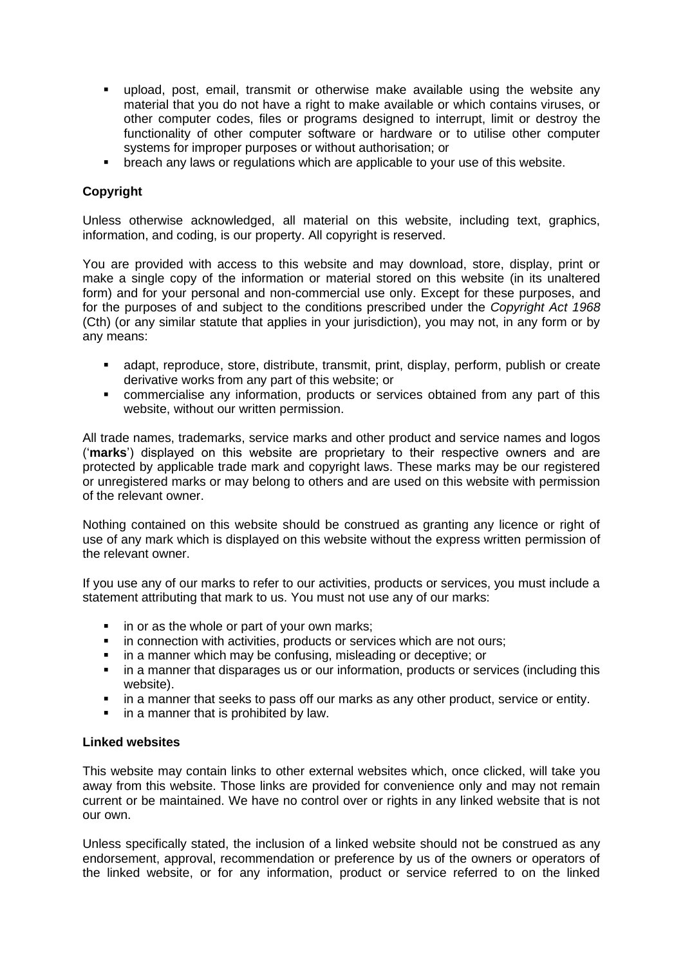- upload, post, email, transmit or otherwise make available using the website any material that you do not have a right to make available or which contains viruses, or other computer codes, files or programs designed to interrupt, limit or destroy the functionality of other computer software or hardware or to utilise other computer systems for improper purposes or without authorisation; or
- **•** breach any laws or regulations which are applicable to your use of this website.

# **Copyright**

Unless otherwise acknowledged, all material on this website, including text, graphics, information, and coding, is our property. All copyright is reserved.

You are provided with access to this website and may download, store, display, print or make a single copy of the information or material stored on this website (in its unaltered form) and for your personal and non-commercial use only. Except for these purposes, and for the purposes of and subject to the conditions prescribed under the *Copyright Act 1968* (Cth) (or any similar statute that applies in your jurisdiction), you may not, in any form or by any means:

- adapt, reproduce, store, distribute, transmit, print, display, perform, publish or create derivative works from any part of this website; or
- commercialise any information, products or services obtained from any part of this website, without our written permission.

All trade names, trademarks, service marks and other product and service names and logos ('**marks**') displayed on this website are proprietary to their respective owners and are protected by applicable trade mark and copyright laws. These marks may be our registered or unregistered marks or may belong to others and are used on this website with permission of the relevant owner.

Nothing contained on this website should be construed as granting any licence or right of use of any mark which is displayed on this website without the express written permission of the relevant owner.

If you use any of our marks to refer to our activities, products or services, you must include a statement attributing that mark to us. You must not use any of our marks:

- in or as the whole or part of your own marks;
- in connection with activities, products or services which are not ours;
- in a manner which may be confusing, misleading or deceptive; or
- **.** in a manner that disparages us or our information, products or services (including this website).
- **.** in a manner that seeks to pass off our marks as any other product, service or entity.
- in a manner that is prohibited by law.

## **Linked websites**

This website may contain links to other external websites which, once clicked, will take you away from this website. Those links are provided for convenience only and may not remain current or be maintained. We have no control over or rights in any linked website that is not our own.

Unless specifically stated, the inclusion of a linked website should not be construed as any endorsement, approval, recommendation or preference by us of the owners or operators of the linked website, or for any information, product or service referred to on the linked